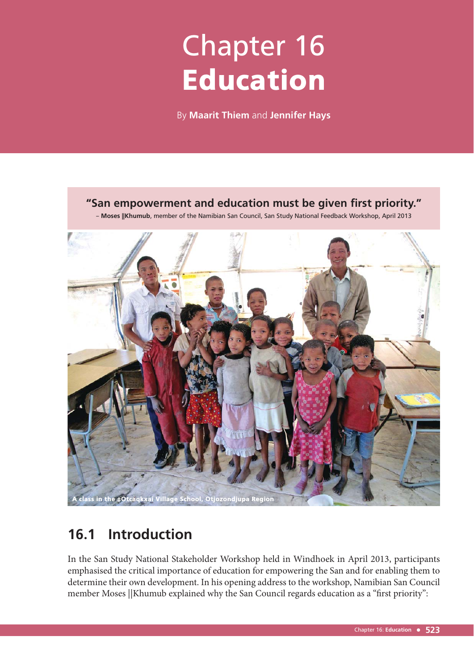# Chapter 16 Education

By **Maarit Thiem** and **Jennifer Hays**

# **"San empowerment and education must be given first priority."**

– **Moses ||Khumub**, member of the Namibian San Council, San Study National Feedback Workshop, April 2013



# **16.1 Introduction**

In the San Study National Stakeholder Workshop held in Windhoek in April 2013, participants emphasised the critical importance of education for empowering the San and for enabling them to determine their own development. In his opening address to the workshop, Namibian San Council member Moses ||Khumub explained why the San Council regards education as a "first priority":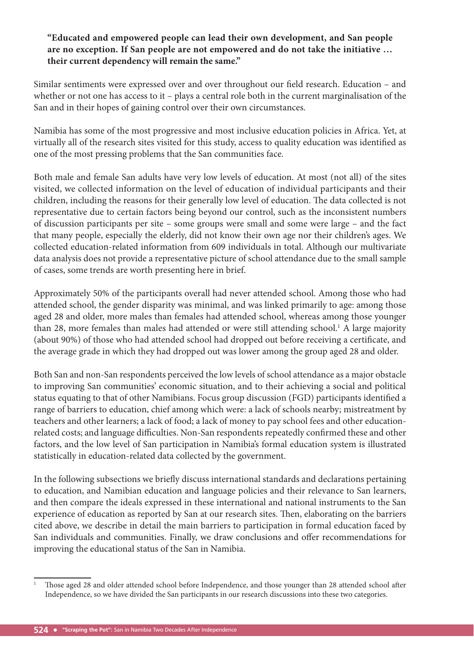#### **"Educated and empowered people can lead their own development, and San people are no exception. If San people are not empowered and do not take the initiative … their current dependency will remain the same."**

Similar sentiments were expressed over and over throughout our field research. Education - and whether or not one has access to it – plays a central role both in the current marginalisation of the San and in their hopes of gaining control over their own circumstances.

Namibia has some of the most progressive and most inclusive education policies in Africa. Yet, at virtually all of the research sites visited for this study, access to quality education was identified as one of the most pressing problems that the San communities face.

Both male and female San adults have very low levels of education. At most (not all) of the sites visited, we collected information on the level of education of individual participants and their children, including the reasons for their generally low level of education. The data collected is not representative due to certain factors being beyond our control, such as the inconsistent numbers of discussion participants per site – some groups were small and some were large – and the fact that many people, especially the elderly, did not know their own age nor their children's ages. We collected education-related information from 609 individuals in total. Although our multivariate data analysis does not provide a representative picture of school attendance due to the small sample of cases, some trends are worth presenting here in brief.

Approximately 50% of the participants overall had never attended school. Among those who had attended school, the gender disparity was minimal, and was linked primarily to age: among those aged 28 and older, more males than females had attended school, whereas among those younger than 28, more females than males had attended or were still attending school.<sup>1</sup> A large majority (about 90%) of those who had attended school had dropped out before receiving a certificate, and the average grade in which they had dropped out was lower among the group aged 28 and older.

Both San and non-San respondents perceived the low levels of school attendance as a major obstacle to improving San communities' economic situation, and to their achieving a social and political status equating to that of other Namibians. Focus group discussion (FGD) participants identified a range of barriers to education, chief among which were: a lack of schools nearby; mistreatment by teachers and other learners; a lack of food; a lack of money to pay school fees and other educationrelated costs; and language difficulties. Non-San respondents repeatedly confirmed these and other factors, and the low level of San participation in Namibia's formal education system is illustrated statistically in education-related data collected by the government.

In the following subsections we briefly discuss international standards and declarations pertaining to education, and Namibian education and language policies and their relevance to San learners, and then compare the ideals expressed in these international and national instruments to the San experience of education as reported by San at our research sites. Then, elaborating on the barriers cited above, we describe in detail the main barriers to participation in formal education faced by San individuals and communities. Finally, we draw conclusions and offer recommendations for improving the educational status of the San in Namibia.

<sup>1</sup> Those aged 28 and older attended school before Independence, and those younger than 28 attended school after Independence, so we have divided the San participants in our research discussions into these two categories.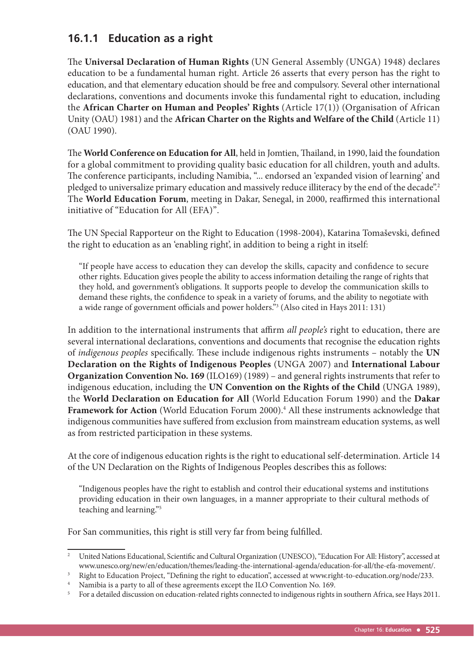# **16.1.1 Education as a right**

The Universal Declaration of Human Rights (UN General Assembly (UNGA) 1948) declares education to be a fundamental human right. Article 26 asserts that every person has the right to education, and that elementary education should be free and compulsory. Several other international declarations, conventions and documents invoke this fundamental right to education, including the **African Charter on Human and Peoples' Rights** (Article 17(1)) (Organisation of African Unity (OAU) 1981) and the **African Charter on the Rights and Welfare of the Child** (Article 11) (OAU 1990).

The World Conference on Education for All, held in Jomtien, Thailand, in 1990, laid the foundation for a global commitment to providing quality basic education for all children, youth and adults. The conference participants, including Namibia, "... endorsed an 'expanded vision of learning' and pledged to universalize primary education and massively reduce illiteracy by the end of the decade".<sup>2</sup> The World Education Forum, meeting in Dakar, Senegal, in 2000, reaffirmed this international initiative of "Education for All (EFA)".

The UN Special Rapporteur on the Right to Education (1998-2004), Katarina Tomaševski, defined the right to education as an 'enabling right', in addition to being a right in itself:

"If people have access to education they can develop the skills, capacity and confidence to secure other rights. Education gives people the ability to access information detailing the range of rights that they hold, and government's obligations. It supports people to develop the communication skills to demand these rights, the confidence to speak in a variety of forums, and the ability to negotiate with a wide range of government officials and power holders."<sup>3</sup> (Also cited in Hays 2011: 131)

In addition to the international instruments that affirm *all people's* right to education, there are several international declarations, conventions and documents that recognise the education rights of *indigenous peoples* specifically. These include indigenous rights instruments – notably the UN **Declaration on the Rights of Indigenous Peoples** (UNGA 2007) and **International Labour Organization Convention No. 169** (ILO169) (1989) – and general rights instruments that refer to indigenous education, including the **UN Convention on the Rights of the Child** (UNGA 1989), the **World Declaration on Education for All** (World Education Forum 1990) and the **Dakar**  Framework for Action (World Education Forum 2000).<sup>4</sup> All these instruments acknowledge that indigenous communities have suffered from exclusion from mainstream education systems, as well as from restricted participation in these systems.

At the core of indigenous education rights is the right to educational self-determination. Article 14 of the UN Declaration on the Rights of Indigenous Peoples describes this as follows:

"Indigenous peoples have the right to establish and control their educational systems and institutions providing education in their own languages, in a manner appropriate to their cultural methods of teaching and learning."5

For San communities, this right is still very far from being fulfilled.

<sup>&</sup>lt;sup>2</sup> United Nations Educational, Scientific and Cultural Organization (UNESCO), "Education For All: History", accessed at www.unesco.org/new/en/education/themes/leading-the-international-agenda/education-for-all/the-efa-movement/.

<sup>3</sup> Right to Education Project, "Defining the right to education", accessed at www.right-to-education.org/node/233.

<sup>4</sup> Namibia is a party to all of these agreements except the ILO Convention No. 169.

<sup>&</sup>lt;sup>5</sup> For a detailed discussion on education-related rights connected to indigenous rights in southern Africa, see Hays 2011.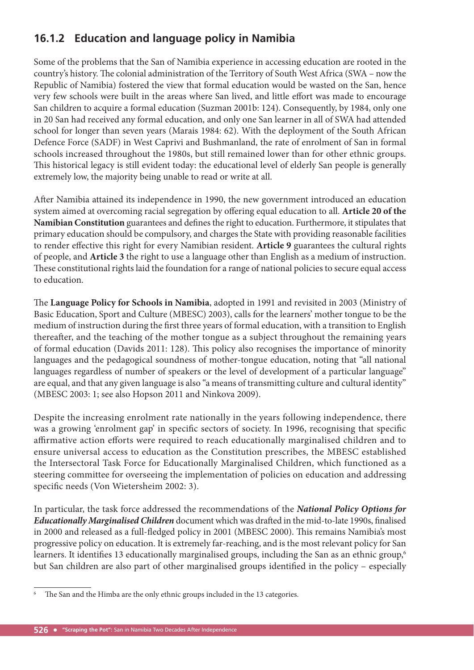# **16.1.2 Education and language policy in Namibia**

Some of the problems that the San of Namibia experience in accessing education are rooted in the country's history. The colonial administration of the Territory of South West Africa (SWA – now the Republic of Namibia) fostered the view that formal education would be wasted on the San, hence very few schools were built in the areas where San lived, and little effort was made to encourage San children to acquire a formal education (Suzman 2001b: 124). Consequently, by 1984, only one in 20 San had received any formal education, and only one San learner in all of SWA had attended school for longer than seven years (Marais 1984: 62). With the deployment of the South African Defence Force (SADF) in West Caprivi and Bushmanland, the rate of enrolment of San in formal schools increased throughout the 1980s, but still remained lower than for other ethnic groups. This historical legacy is still evident today: the educational level of elderly San people is generally extremely low, the majority being unable to read or write at all.

After Namibia attained its independence in 1990, the new government introduced an education system aimed at overcoming racial segregation by offering equal education to all. Article 20 of the Namibian Constitution guarantees and defines the right to education. Furthermore, it stipulates that primary education should be compulsory, and charges the State with providing reasonable facilities to render effective this right for every Namibian resident. Article 9 guarantees the cultural rights of people, and **Article 3** the right to use a language other than English as a medium of instruction. These constitutional rights laid the foundation for a range of national policies to secure equal access to education.

The Language Policy for Schools in Namibia, adopted in 1991 and revisited in 2003 (Ministry of Basic Education, Sport and Culture (MBESC) 2003), calls for the learners' mother tongue to be the medium of instruction during the first three years of formal education, with a transition to English thereafter, and the teaching of the mother tongue as a subject throughout the remaining years of formal education (Davids 2011: 128). This policy also recognises the importance of minority languages and the pedagogical soundness of mother-tongue education, noting that "all national languages regardless of number of speakers or the level of development of a particular language" are equal, and that any given language is also "a means of transmitting culture and cultural identity" (MBESC 2003: 1; see also Hopson 2011 and Ninkova 2009).

Despite the increasing enrolment rate nationally in the years following independence, there was a growing 'enrolment gap' in specific sectors of society. In 1996, recognising that specific affirmative action efforts were required to reach educationally marginalised children and to ensure universal access to education as the Constitution prescribes, the MBESC established the Intersectoral Task Force for Educationally Marginalised Children, which functioned as a steering committee for overseeing the implementation of policies on education and addressing specific needs (Von Wietersheim 2002: 3).

In particular, the task force addressed the recommendations of the *National Policy Options for Educationally Marginalised Children* document which was drafted in the mid-to-late 1990s, finalised in 2000 and released as a full-fledged policy in 2001 (MBESC 2000). This remains Namibia's most progressive policy on education. It is extremely far-reaching, and is the most relevant policy for San learners. It identifies 13 educationally marginalised groups, including the San as an ethnic group,<sup>6</sup> but San children are also part of other marginalised groups identified in the policy – especially

<sup>6</sup> The San and the Himba are the only ethnic groups included in the 13 categories.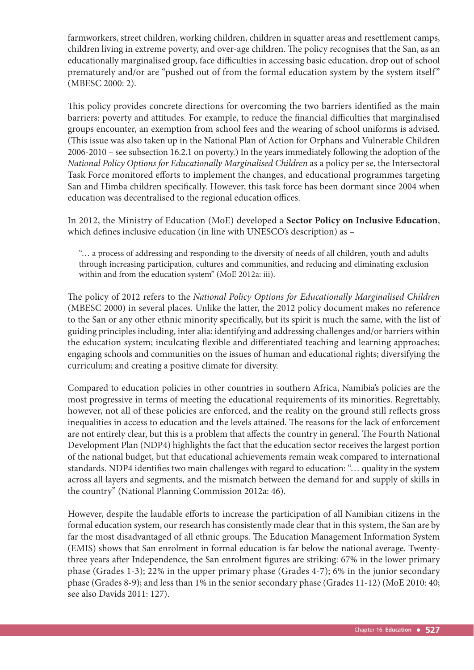farmworkers, street children, working children, children in squatter areas and resettlement camps, children living in extreme poverty, and over-age children. The policy recognises that the San, as an educationally marginalised group, face difficulties in accessing basic education, drop out of school prematurely and/or are "pushed out of from the formal education system by the system itself" (MBESC 2000: 2).

This policy provides concrete directions for overcoming the two barriers identified as the main barriers: poverty and attitudes. For example, to reduce the financial difficulties that marginalised groups encounter, an exemption from school fees and the wearing of school uniforms is advised. (This issue was also taken up in the National Plan of Action for Orphans and Vulnerable Children 2006-2010 – see subsection 16.2.1 on poverty.) In the years immediately following the adoption of the *National Policy Options for Educationally Marginalised Children* as a policy per se, the Intersectoral Task Force monitored efforts to implement the changes, and educational programmes targeting San and Himba children specifically. However, this task force has been dormant since 2004 when education was decentralised to the regional education offices.

In 2012, the Ministry of Education (MoE) developed a **Sector Policy on Inclusive Education**, which defines inclusive education (in line with UNESCO's description) as -

"… a process of addressing and responding to the diversity of needs of all children, youth and adults through increasing participation, cultures and communities, and reducing and eliminating exclusion within and from the education system" (MoE 2012a: iii).

The policy of 2012 refers to the *National Policy Options for Educationally Marginalised Children* (MBESC 2000) in several places. Unlike the latter, the 2012 policy document makes no reference to the San or any other ethnic minority specifically, but its spirit is much the same, with the list of guiding principles including, inter alia: identifying and addressing challenges and/or barriers within the education system; inculcating flexible and differentiated teaching and learning approaches; engaging schools and communities on the issues of human and educational rights; diversifying the curriculum; and creating a positive climate for diversity.

Compared to education policies in other countries in southern Africa, Namibia's policies are the most progressive in terms of meeting the educational requirements of its minorities. Regrettably, however, not all of these policies are enforced, and the reality on the ground still reflects gross inequalities in access to education and the levels attained. The reasons for the lack of enforcement are not entirely clear, but this is a problem that affects the country in general. The Fourth National Development Plan (NDP4) highlights the fact that the education sector receives the largest portion of the national budget, but that educational achievements remain weak compared to international standards. NDP4 identifies two main challenges with regard to education: "... quality in the system across all layers and segments, and the mismatch between the demand for and supply of skills in the country" (National Planning Commission 2012a: 46).

However, despite the laudable efforts to increase the participation of all Namibian citizens in the formal education system, our research has consistently made clear that in this system, the San are by far the most disadvantaged of all ethnic groups. The Education Management Information System (EMIS) shows that San enrolment in formal education is far below the national average. Twentythree years after Independence, the San enrolment figures are striking: 67% in the lower primary phase (Grades 1-3); 22% in the upper primary phase (Grades 4-7); 6% in the junior secondary phase (Grades 8-9); and less than 1% in the senior secondary phase (Grades 11-12) (MoE 2010: 40; see also Davids 2011: 127).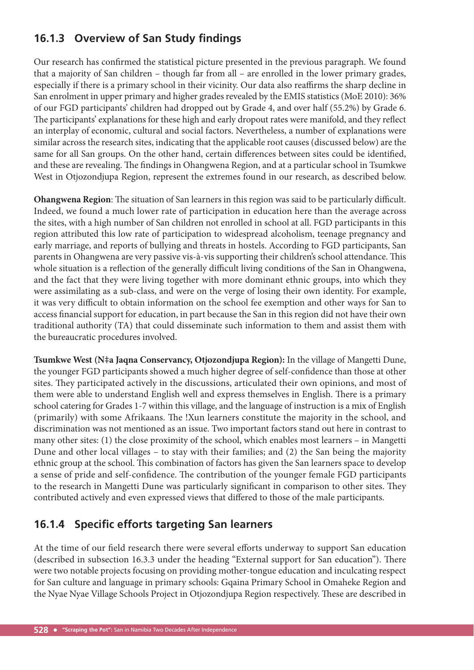# **16.1.3 Overview of San Study findings**

Our research has confirmed the statistical picture presented in the previous paragraph. We found that a majority of San children – though far from all – are enrolled in the lower primary grades, especially if there is a primary school in their vicinity. Our data also reaffirms the sharp decline in San enrolment in upper primary and higher grades revealed by the EMIS statistics (MoE 2010): 36% of our FGD participants' children had dropped out by Grade 4, and over half (55.2%) by Grade 6. The participants' explanations for these high and early dropout rates were manifold, and they reflect an interplay of economic, cultural and social factors. Nevertheless, a number of explanations were similar across the research sites, indicating that the applicable root causes (discussed below) are the same for all San groups. On the other hand, certain differences between sites could be identified, and these are revealing. The findings in Ohangwena Region, and at a particular school in Tsumkwe West in Otjozondjupa Region, represent the extremes found in our research, as described below.

**Ohangwena Region**: The situation of San learners in this region was said to be particularly difficult. Indeed, we found a much lower rate of participation in education here than the average across the sites, with a high number of San children not enrolled in school at all. FGD participants in this region attributed this low rate of participation to widespread alcoholism, teenage pregnancy and early marriage, and reports of bullying and threats in hostels. According to FGD participants, San parents in Ohangwena are very passive vis-à-vis supporting their children's school attendance. This whole situation is a reflection of the generally difficult living conditions of the San in Ohangwena, and the fact that they were living together with more dominant ethnic groups, into which they were assimilating as a sub-class, and were on the verge of losing their own identity. For example, it was very difficult to obtain information on the school fee exemption and other ways for San to access financial support for education, in part because the San in this region did not have their own traditional authority (TA) that could disseminate such information to them and assist them with the bureaucratic procedures involved.

**Tsumkwe West (N**‡**a Jaqna Conservancy, Otjozondjupa Region):** In the village of Mangetti Dune, the younger FGD participants showed a much higher degree of self-confidence than those at other sites. They participated actively in the discussions, articulated their own opinions, and most of them were able to understand English well and express themselves in English. There is a primary school catering for Grades 1-7 within this village, and the language of instruction is a mix of English (primarily) with some Afrikaans. The !Xun learners constitute the majority in the school, and discrimination was not mentioned as an issue. Two important factors stand out here in contrast to many other sites: (1) the close proximity of the school, which enables most learners – in Mangetti Dune and other local villages – to stay with their families; and (2) the San being the majority ethnic group at the school. This combination of factors has given the San learners space to develop a sense of pride and self-confidence. The contribution of the younger female FGD participants to the research in Mangetti Dune was particularly significant in comparison to other sites. They contributed actively and even expressed views that differed to those of the male participants.

# **16.1.4 Specific efforts targeting San learners**

At the time of our field research there were several efforts underway to support San education (described in subsection 16.3.3 under the heading "External support for San education"). There were two notable projects focusing on providing mother-tongue education and inculcating respect for San culture and language in primary schools: Gqaina Primary School in Omaheke Region and the Nyae Nyae Village Schools Project in Otjozondjupa Region respectively. These are described in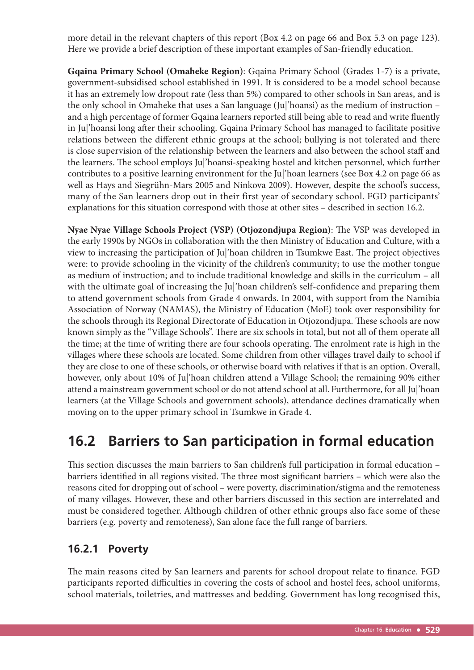more detail in the relevant chapters of this report (Box 4.2 on page 66 and Box 5.3 on page 123). Here we provide a brief description of these important examples of San-friendly education.

**Gqaina Primary School (Omaheke Region)**: Gqaina Primary School (Grades 1-7) is a private, government-subsidised school established in 1991. It is considered to be a model school because it has an extremely low dropout rate (less than 5%) compared to other schools in San areas, and is the only school in Omaheke that uses a San language (Ju|'hoansi) as the medium of instruction – and a high percentage of former Gqaina learners reported still being able to read and write fluently in Ju|'hoansi long after their schooling. Gqaina Primary School has managed to facilitate positive relations between the different ethnic groups at the school; bullying is not tolerated and there is close supervision of the relationship between the learners and also between the school staff and the learners. The school employs Jul'hoansi-speaking hostel and kitchen personnel, which further contributes to a positive learning environment for the Ju|'hoan learners (see Box 4.2 on page 66 as well as Hays and Siegrühn-Mars 2005 and Ninkova 2009). However, despite the school's success, many of the San learners drop out in their first year of secondary school. FGD participants' explanations for this situation correspond with those at other sites – described in section 16.2.

Nyae Nyae Village Schools Project (VSP) (Otjozondjupa Region): The VSP was developed in the early 1990s by NGOs in collaboration with the then Ministry of Education and Culture, with a view to increasing the participation of Jul'hoan children in Tsumkwe East. The project objectives were: to provide schooling in the vicinity of the children's community; to use the mother tongue as medium of instruction; and to include traditional knowledge and skills in the curriculum – all with the ultimate goal of increasing the Ju|'hoan children's self-confidence and preparing them to attend government schools from Grade 4 onwards. In 2004, with support from the Namibia Association of Norway (NAMAS), the Ministry of Education (MoE) took over responsibility for the schools through its Regional Directorate of Education in Otjozondjupa. These schools are now known simply as the "Village Schools". There are six schools in total, but not all of them operate all the time; at the time of writing there are four schools operating. The enrolment rate is high in the villages where these schools are located. Some children from other villages travel daily to school if they are close to one of these schools, or otherwise board with relatives if that is an option. Overall, however, only about 10% of Ju|'hoan children attend a Village School; the remaining 90% either attend a mainstream government school or do not attend school at all. Furthermore, for all Ju|'hoan learners (at the Village Schools and government schools), attendance declines dramatically when moving on to the upper primary school in Tsumkwe in Grade 4.

# **16.2 Barriers to San participation in formal education**

This section discusses the main barriers to San children's full participation in formal education barriers identified in all regions visited. The three most significant barriers – which were also the reasons cited for dropping out of school – were poverty, discrimination/stigma and the remoteness of many villages. However, these and other barriers discussed in this section are interrelated and must be considered together. Although children of other ethnic groups also face some of these barriers (e.g. poverty and remoteness), San alone face the full range of barriers.

### **16.2.1 Poverty**

The main reasons cited by San learners and parents for school dropout relate to finance. FGD participants reported difficulties in covering the costs of school and hostel fees, school uniforms, school materials, toiletries, and mattresses and bedding. Government has long recognised this,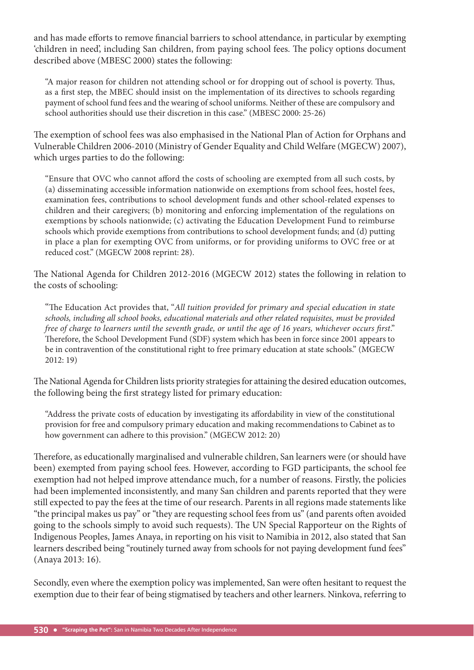and has made efforts to remove financial barriers to school attendance, in particular by exempting 'children in need', including San children, from paying school fees. The policy options document described above (MBESC 2000) states the following:

"A major reason for children not attending school or for dropping out of school is poverty. Thus, as a first step, the MBEC should insist on the implementation of its directives to schools regarding payment of school fund fees and the wearing of school uniforms. Neither of these are compulsory and school authorities should use their discretion in this case." (MBESC 2000: 25-26)

The exemption of school fees was also emphasised in the National Plan of Action for Orphans and Vulnerable Children 2006-2010 (Ministry of Gender Equality and Child Welfare (MGECW) 2007), which urges parties to do the following:

"Ensure that OVC who cannot afford the costs of schooling are exempted from all such costs, by (a) disseminating accessible information nationwide on exemptions from school fees, hostel fees, examination fees, contributions to school development funds and other school-related expenses to children and their caregivers; (b) monitoring and enforcing implementation of the regulations on exemptions by schools nationwide; (c) activating the Education Development Fund to reimburse schools which provide exemptions from contributions to school development funds; and (d) putting in place a plan for exempting OVC from uniforms, or for providing uniforms to OVC free or at reduced cost." (MGECW 2008 reprint: 28).

The National Agenda for Children 2012-2016 (MGECW 2012) states the following in relation to the costs of schooling:

"The Education Act provides that, "All tuition provided for primary and special education in state *schools, including all school books, educational materials and other related requisites, must be provided free of charge to learners until the seventh grade, or until the age of 16 years, whichever occurs first.*" Therefore, the School Development Fund (SDF) system which has been in force since 2001 appears to be in contravention of the constitutional right to free primary education at state schools." (MGECW 2012: 19)

The National Agenda for Children lists priority strategies for attaining the desired education outcomes, the following being the first strategy listed for primary education:

"Address the private costs of education by investigating its affordability in view of the constitutional provision for free and compulsory primary education and making recommendations to Cabinet as to how government can adhere to this provision." (MGECW 2012: 20)

Therefore, as educationally marginalised and vulnerable children, San learners were (or should have been) exempted from paying school fees. However, according to FGD participants, the school fee exemption had not helped improve attendance much, for a number of reasons. Firstly, the policies had been implemented inconsistently, and many San children and parents reported that they were still expected to pay the fees at the time of our research. Parents in all regions made statements like "the principal makes us pay" or "they are requesting school fees from us" (and parents often avoided going to the schools simply to avoid such requests). The UN Special Rapporteur on the Rights of Indigenous Peoples, James Anaya, in reporting on his visit to Namibia in 2012, also stated that San learners described being "routinely turned away from schools for not paying development fund fees" (Anaya 2013: 16).

Secondly, even where the exemption policy was implemented, San were often hesitant to request the exemption due to their fear of being stigmatised by teachers and other learners. Ninkova, referring to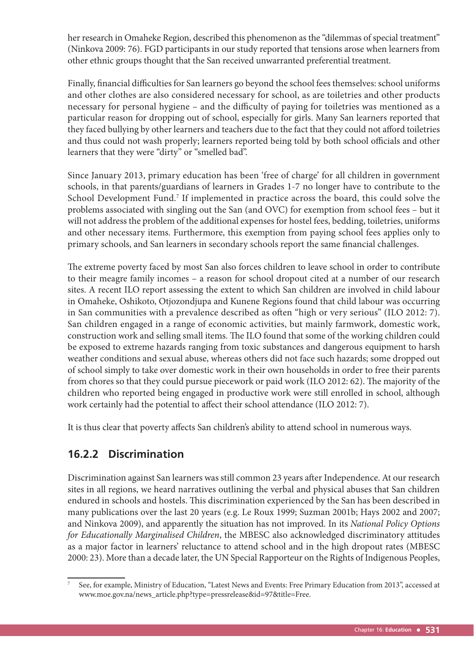her research in Omaheke Region, described this phenomenon as the "dilemmas of special treatment" (Ninkova 2009: 76). FGD participants in our study reported that tensions arose when learners from other ethnic groups thought that the San received unwarranted preferential treatment.

Finally, financial difficulties for San learners go beyond the school fees themselves: school uniforms and other clothes are also considered necessary for school, as are toiletries and other products necessary for personal hygiene – and the difficulty of paying for toiletries was mentioned as a particular reason for dropping out of school, especially for girls. Many San learners reported that they faced bullying by other learners and teachers due to the fact that they could not afford toiletries and thus could not wash properly; learners reported being told by both school officials and other learners that they were "dirty" or "smelled bad".

Since January 2013, primary education has been 'free of charge' for all children in government schools, in that parents/guardians of learners in Grades 1-7 no longer have to contribute to the School Development Fund.<sup>7</sup> If implemented in practice across the board, this could solve the problems associated with singling out the San (and OVC) for exemption from school fees – but it will not address the problem of the additional expenses for hostel fees, bedding, toiletries, uniforms and other necessary items. Furthermore, this exemption from paying school fees applies only to primary schools, and San learners in secondary schools report the same financial challenges.

The extreme poverty faced by most San also forces children to leave school in order to contribute to their meagre family incomes – a reason for school dropout cited at a number of our research sites. A recent ILO report assessing the extent to which San children are involved in child labour in Omaheke, Oshikoto, Otjozondjupa and Kunene Regions found that child labour was occurring in San communities with a prevalence described as often "high or very serious" (ILO 2012: 7). San children engaged in a range of economic activities, but mainly farmwork, domestic work, construction work and selling small items. The ILO found that some of the working children could be exposed to extreme hazards ranging from toxic substances and dangerous equipment to harsh weather conditions and sexual abuse, whereas others did not face such hazards; some dropped out of school simply to take over domestic work in their own households in order to free their parents from chores so that they could pursue piecework or paid work (ILO 2012: 62). The majority of the children who reported being engaged in productive work were still enrolled in school, although work certainly had the potential to affect their school attendance (ILO 2012: 7).

It is thus clear that poverty affects San children's ability to attend school in numerous ways.

# **16.2.2 Discrimination**

Discrimination against San learners was still common 23 years after Independence. At our research sites in all regions, we heard narratives outlining the verbal and physical abuses that San children endured in schools and hostels. This discrimination experienced by the San has been described in many publications over the last 20 years (e.g. Le Roux 1999; Suzman 2001b; Hays 2002 and 2007; and Ninkova 2009), and apparently the situation has not improved. In its *National Policy Options for Educationally Marginalised Children*, the MBESC also acknowledged discriminatory attitudes as a major factor in learners' reluctance to attend school and in the high dropout rates (MBESC 2000: 23). More than a decade later, the UN Special Rapporteur on the Rights of Indigenous Peoples,

<sup>7</sup> See, for example, Ministry of Education, "Latest News and Events: Free Primary Education from 2013", accessed at www.moe.gov.na/news\_article.php?type=pressrelease&id=97&title=Free.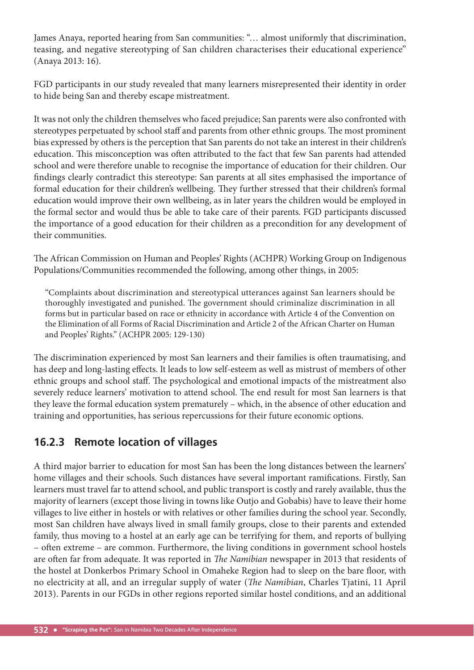James Anaya, reported hearing from San communities: "… almost uniformly that discrimination, teasing, and negative stereotyping of San children characterises their educational experience" (Anaya 2013: 16).

FGD participants in our study revealed that many learners misrepresented their identity in order to hide being San and thereby escape mistreatment.

It was not only the children themselves who faced prejudice; San parents were also confronted with stereotypes perpetuated by school staff and parents from other ethnic groups. The most prominent bias expressed by others is the perception that San parents do not take an interest in their children's education. This misconception was often attributed to the fact that few San parents had attended school and were therefore unable to recognise the importance of education for their children. Our findings clearly contradict this stereotype: San parents at all sites emphasised the importance of formal education for their children's wellbeing. They further stressed that their children's formal education would improve their own wellbeing, as in later years the children would be employed in the formal sector and would thus be able to take care of their parents. FGD participants discussed the importance of a good education for their children as a precondition for any development of their communities.

The African Commission on Human and Peoples' Rights (ACHPR) Working Group on Indigenous Populations/Communities recommended the following, among other things, in 2005:

"Complaints about discrimination and stereotypical utterances against San learners should be thoroughly investigated and punished. The government should criminalize discrimination in all forms but in particular based on race or ethnicity in accordance with Article 4 of the Convention on the Elimination of all Forms of Racial Discrimination and Article 2 of the African Charter on Human and Peoples' Rights." (ACHPR 2005: 129-130)

The discrimination experienced by most San learners and their families is often traumatising, and has deep and long-lasting effects. It leads to low self-esteem as well as mistrust of members of other ethnic groups and school staff. The psychological and emotional impacts of the mistreatment also severely reduce learners' motivation to attend school. The end result for most San learners is that they leave the formal education system prematurely – which, in the absence of other education and training and opportunities, has serious repercussions for their future economic options.

# **16.2.3 Remote location of villages**

A third major barrier to education for most San has been the long distances between the learners' home villages and their schools. Such distances have several important ramifications. Firstly, San learners must travel far to attend school, and public transport is costly and rarely available, thus the majority of learners (except those living in towns like Outjo and Gobabis) have to leave their home villages to live either in hostels or with relatives or other families during the school year. Secondly, most San children have always lived in small family groups, close to their parents and extended family, thus moving to a hostel at an early age can be terrifying for them, and reports of bullying – often extreme – are common. Furthermore, the living conditions in government school hostels are often far from adequate. It was reported in *The Namibian* newspaper in 2013 that residents of the hostel at Donkerbos Primary School in Omaheke Region had to sleep on the bare floor, with no electricity at all, and an irregular supply of water (*The Namibian*, Charles Tjatini, 11 April 2013). Parents in our FGDs in other regions reported similar hostel conditions, and an additional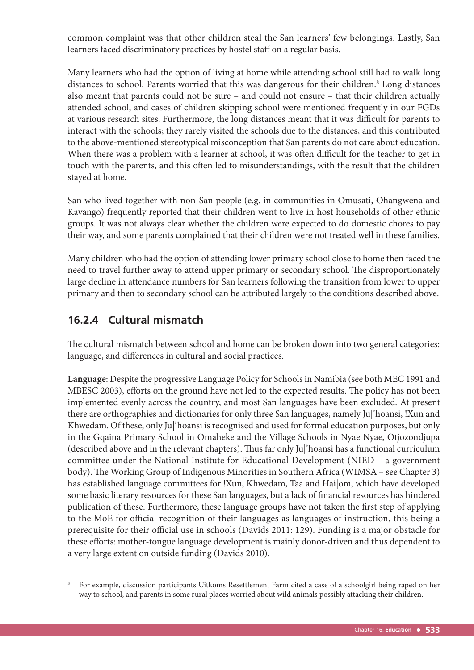common complaint was that other children steal the San learners' few belongings. Lastly, San learners faced discriminatory practices by hostel staff on a regular basis.

Many learners who had the option of living at home while attending school still had to walk long distances to school. Parents worried that this was dangerous for their children.<sup>8</sup> Long distances also meant that parents could not be sure – and could not ensure – that their children actually attended school, and cases of children skipping school were mentioned frequently in our FGDs at various research sites. Furthermore, the long distances meant that it was difficult for parents to interact with the schools; they rarely visited the schools due to the distances, and this contributed to the above-mentioned stereotypical misconception that San parents do not care about education. When there was a problem with a learner at school, it was often difficult for the teacher to get in touch with the parents, and this often led to misunderstandings, with the result that the children stayed at home.

San who lived together with non-San people (e.g. in communities in Omusati, Ohangwena and Kavango) frequently reported that their children went to live in host households of other ethnic groups. It was not always clear whether the children were expected to do domestic chores to pay their way, and some parents complained that their children were not treated well in these families.

Many children who had the option of attending lower primary school close to home then faced the need to travel further away to attend upper primary or secondary school. The disproportionately large decline in attendance numbers for San learners following the transition from lower to upper primary and then to secondary school can be attributed largely to the conditions described above.

# **16.2.4 Cultural mismatch**

The cultural mismatch between school and home can be broken down into two general categories: language, and differences in cultural and social practices.

**Language**: Despite the progressive Language Policy for Schools in Namibia (see both MEC 1991 and MBESC 2003), efforts on the ground have not led to the expected results. The policy has not been implemented evenly across the country, and most San languages have been excluded. At present there are orthographies and dictionaries for only three San languages, namely Ju|'hoansi, !Xun and Khwedam. Of these, only Ju|'hoansi is recognised and used for formal education purposes, but only in the Gqaina Primary School in Omaheke and the Village Schools in Nyae Nyae, Otjozondjupa (described above and in the relevant chapters). Thus far only Ju|'hoansi has a functional curriculum committee under the National Institute for Educational Development (NIED – a government body). The Working Group of Indigenous Minorities in Southern Africa (WIMSA – see Chapter 3) has established language committees for !Xun, Khwedam, Taa and Hai|om, which have developed some basic literary resources for these San languages, but a lack of financial resources has hindered publication of these. Furthermore, these language groups have not taken the first step of applying to the MoE for official recognition of their languages as languages of instruction, this being a prerequisite for their official use in schools (Davids 2011: 129). Funding is a major obstacle for these efforts: mother-tongue language development is mainly donor-driven and thus dependent to a very large extent on outside funding (Davids 2010).

<sup>8</sup> For example, discussion participants Uitkoms Resettlement Farm cited a case of a schoolgirl being raped on her way to school, and parents in some rural places worried about wild animals possibly attacking their children.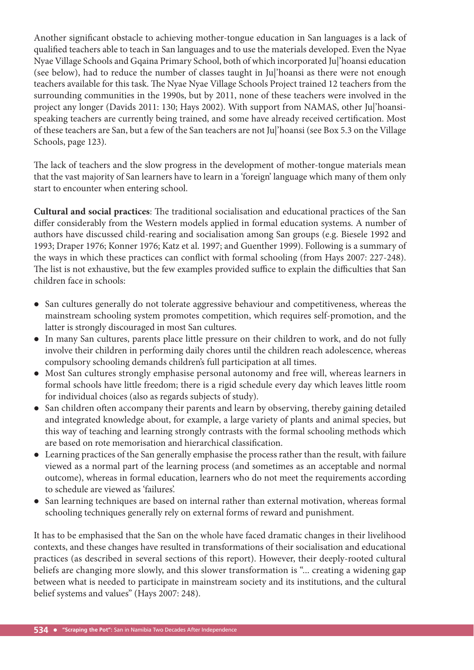Another significant obstacle to achieving mother-tongue education in San languages is a lack of qualified teachers able to teach in San languages and to use the materials developed. Even the Nyae Nyae Village Schools and Gqaina Primary School, both of which incorporated Ju|'hoansi education (see below), had to reduce the number of classes taught in Ju|'hoansi as there were not enough teachers available for this task. The Nyae Nyae Village Schools Project trained 12 teachers from the surrounding communities in the 1990s, but by 2011, none of these teachers were involved in the project any longer (Davids 2011: 130; Hays 2002). With support from NAMAS, other Ju|'hoansispeaking teachers are currently being trained, and some have already received certification. Most of these teachers are San, but a few of the San teachers are not Ju|'hoansi (see Box 5.3 on the Village Schools, page 123).

The lack of teachers and the slow progress in the development of mother-tongue materials mean that the vast majority of San learners have to learn in a 'foreign' language which many of them only start to encounter when entering school.

**Cultural and social practices**: The traditional socialisation and educational practices of the San differ considerably from the Western models applied in formal education systems. A number of authors have discussed child-rearing and socialisation among San groups (e.g. Biesele 1992 and 1993; Draper 1976; Konner 1976; Katz et al. 1997; and Guenther 1999). Following is a summary of the ways in which these practices can conflict with formal schooling (from Hays 2007: 227-248). The list is not exhaustive, but the few examples provided suffice to explain the difficulties that San children face in schools:

- San cultures generally do not tolerate aggressive behaviour and competitiveness, whereas the mainstream schooling system promotes competition, which requires self-promotion, and the latter is strongly discouraged in most San cultures.
- In many San cultures, parents place little pressure on their children to work, and do not fully involve their children in performing daily chores until the children reach adolescence, whereas compulsory schooling demands children's full participation at all times.
- Most San cultures strongly emphasise personal autonomy and free will, whereas learners in formal schools have little freedom; there is a rigid schedule every day which leaves little room for individual choices (also as regards subjects of study).
- $\bullet$  San children often accompany their parents and learn by observing, thereby gaining detailed and integrated knowledge about, for example, a large variety of plants and animal species, but this way of teaching and learning strongly contrasts with the formal schooling methods which are based on rote memorisation and hierarchical classification.
- Learning practices of the San generally emphasise the process rather than the result, with failure viewed as a normal part of the learning process (and sometimes as an acceptable and normal outcome), whereas in formal education, learners who do not meet the requirements according to schedule are viewed as 'failures'.
- San learning techniques are based on internal rather than external motivation, whereas formal schooling techniques generally rely on external forms of reward and punishment.

It has to be emphasised that the San on the whole have faced dramatic changes in their livelihood contexts, and these changes have resulted in transformations of their socialisation and educational practices (as described in several sections of this report). However, their deeply-rooted cultural beliefs are changing more slowly, and this slower transformation is "... creating a widening gap between what is needed to participate in mainstream society and its institutions, and the cultural belief systems and values" (Hays 2007: 248).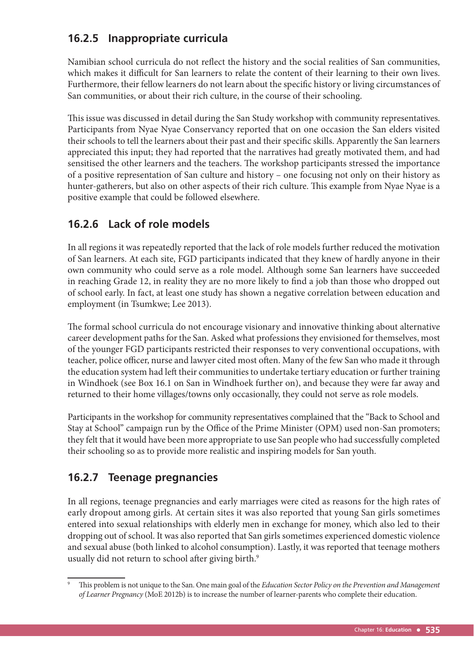# **16.2.5 Inappropriate curricula**

Namibian school curricula do not reflect the history and the social realities of San communities, which makes it difficult for San learners to relate the content of their learning to their own lives. Furthermore, their fellow learners do not learn about the specific history or living circumstances of San communities, or about their rich culture, in the course of their schooling.

This issue was discussed in detail during the San Study workshop with community representatives. Participants from Nyae Nyae Conservancy reported that on one occasion the San elders visited their schools to tell the learners about their past and their specific skills. Apparently the San learners appreciated this input; they had reported that the narratives had greatly motivated them, and had sensitised the other learners and the teachers. The workshop participants stressed the importance of a positive representation of San culture and history – one focusing not only on their history as hunter-gatherers, but also on other aspects of their rich culture. This example from Nyae Nyae is a positive example that could be followed elsewhere.

# **16.2.6 Lack of role models**

In all regions it was repeatedly reported that the lack of role models further reduced the motivation of San learners. At each site, FGD participants indicated that they knew of hardly anyone in their own community who could serve as a role model. Although some San learners have succeeded in reaching Grade 12, in reality they are no more likely to find a job than those who dropped out of school early. In fact, at least one study has shown a negative correlation between education and employment (in Tsumkwe; Lee 2013).

The formal school curricula do not encourage visionary and innovative thinking about alternative career development paths for the San. Asked what professions they envisioned for themselves, most of the younger FGD participants restricted their responses to very conventional occupations, with teacher, police officer, nurse and lawyer cited most often. Many of the few San who made it through the education system had left their communities to undertake tertiary education or further training in Windhoek (see Box 16.1 on San in Windhoek further on), and because they were far away and returned to their home villages/towns only occasionally, they could not serve as role models.

Participants in the workshop for community representatives complained that the "Back to School and Stay at School" campaign run by the Office of the Prime Minister (OPM) used non-San promoters; they felt that it would have been more appropriate to use San people who had successfully completed their schooling so as to provide more realistic and inspiring models for San youth.

# **16.2.7 Teenage pregnancies**

In all regions, teenage pregnancies and early marriages were cited as reasons for the high rates of early dropout among girls. At certain sites it was also reported that young San girls sometimes entered into sexual relationships with elderly men in exchange for money, which also led to their dropping out of school. It was also reported that San girls sometimes experienced domestic violence and sexual abuse (both linked to alcohol consumption). Lastly, it was reported that teenage mothers usually did not return to school after giving birth.<sup>9</sup>

This problem is not unique to the San. One main goal of the *Education Sector Policy on the Prevention and Management of Learner Pregnancy* (MoE 2012b) is to increase the number of learner-parents who complete their education.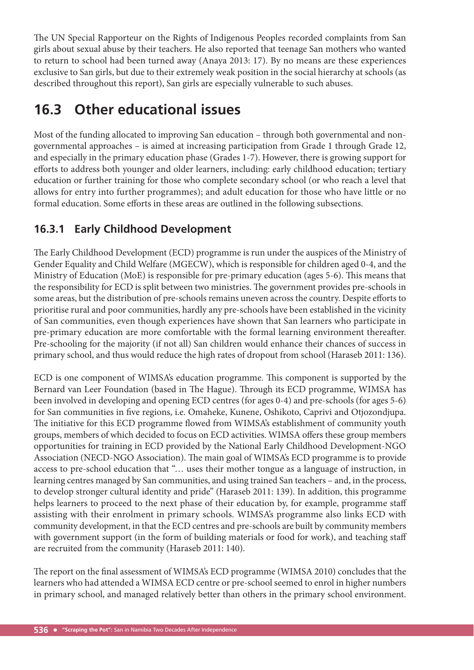The UN Special Rapporteur on the Rights of Indigenous Peoples recorded complaints from San girls about sexual abuse by their teachers. He also reported that teenage San mothers who wanted to return to school had been turned away (Anaya 2013: 17). By no means are these experiences exclusive to San girls, but due to their extremely weak position in the social hierarchy at schools (as described throughout this report), San girls are especially vulnerable to such abuses.

# **16.3 Other educational issues**

Most of the funding allocated to improving San education – through both governmental and nongovernmental approaches – is aimed at increasing participation from Grade 1 through Grade 12, and especially in the primary education phase (Grades 1-7). However, there is growing support for efforts to address both younger and older learners, including: early childhood education; tertiary education or further training for those who complete secondary school (or who reach a level that allows for entry into further programmes); and adult education for those who have little or no formal education. Some efforts in these areas are outlined in the following subsections.

# **16.3.1 Early Childhood Development**

The Early Childhood Development (ECD) programme is run under the auspices of the Ministry of Gender Equality and Child Welfare (MGECW), which is responsible for children aged 0-4, and the Ministry of Education (MoE) is responsible for pre-primary education (ages 5-6). This means that the responsibility for ECD is split between two ministries. The government provides pre-schools in some areas, but the distribution of pre-schools remains uneven across the country. Despite efforts to prioritise rural and poor communities, hardly any pre-schools have been established in the vicinity of San communities, even though experiences have shown that San learners who participate in pre-primary education are more comfortable with the formal learning environment thereafter. Pre-schooling for the majority (if not all) San children would enhance their chances of success in primary school, and thus would reduce the high rates of dropout from school (Haraseb 2011: 136).

ECD is one component of WIMSA's education programme. This component is supported by the Bernard van Leer Foundation (based in The Hague). Through its ECD programme, WIMSA has been involved in developing and opening ECD centres (for ages 0-4) and pre-schools (for ages 5-6) for San communities in five regions, i.e. Omaheke, Kunene, Oshikoto, Caprivi and Otjozondjupa. The initiative for this ECD programme flowed from WIMSA's establishment of community youth groups, members of which decided to focus on ECD activities. WIMSA offers these group members opportunities for training in ECD provided by the National Early Childhood Development-NGO Association (NECD-NGO Association). The main goal of WIMSA's ECD programme is to provide access to pre-school education that "… uses their mother tongue as a language of instruction, in learning centres managed by San communities, and using trained San teachers – and, in the process, to develop stronger cultural identity and pride" (Haraseb 2011: 139). In addition, this programme helps learners to proceed to the next phase of their education by, for example, programme staff assisting with their enrolment in primary schools. WIMSA's programme also links ECD with community development, in that the ECD centres and pre-schools are built by community members with government support (in the form of building materials or food for work), and teaching staff are recruited from the community (Haraseb 2011: 140).

The report on the final assessment of WIMSA's ECD programme (WIMSA 2010) concludes that the learners who had attended a WIMSA ECD centre or pre-school seemed to enrol in higher numbers in primary school, and managed relatively better than others in the primary school environment.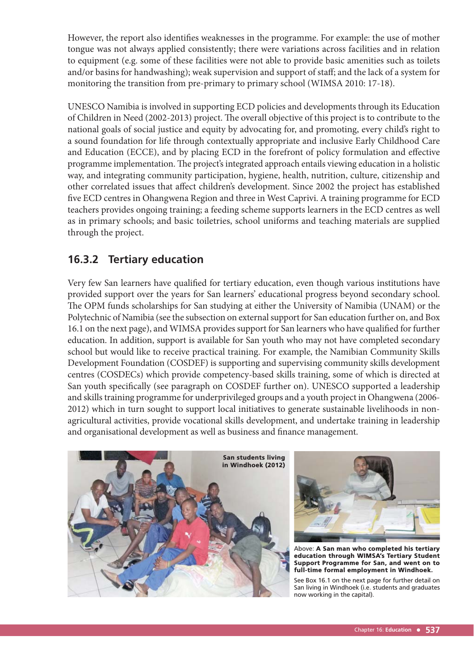However, the report also identifies weaknesses in the programme. For example: the use of mother tongue was not always applied consistently; there were variations across facilities and in relation to equipment (e.g. some of these facilities were not able to provide basic amenities such as toilets and/or basins for handwashing); weak supervision and support of staff; and the lack of a system for monitoring the transition from pre-primary to primary school (WIMSA 2010: 17-18).

UNESCO Namibia is involved in supporting ECD policies and developments through its Education of Children in Need (2002-2013) project. The overall objective of this project is to contribute to the national goals of social justice and equity by advocating for, and promoting, every child's right to a sound foundation for life through contextually appropriate and inclusive Early Childhood Care and Education (ECCE), and by placing ECD in the forefront of policy formulation and effective programme implementation. The project's integrated approach entails viewing education in a holistic way, and integrating community participation, hygiene, health, nutrition, culture, citizenship and other correlated issues that affect children's development. Since 2002 the project has established five ECD centres in Ohangwena Region and three in West Caprivi. A training programme for ECD teachers provides ongoing training; a feeding scheme supports learners in the ECD centres as well as in primary schools; and basic toiletries, school uniforms and teaching materials are supplied through the project.

# **16.3.2 Tertiary education**

Very few San learners have qualified for tertiary education, even though various institutions have provided support over the years for San learners' educational progress beyond secondary school. The OPM funds scholarships for San studying at either the University of Namibia (UNAM) or the Polytechnic of Namibia (see the subsection on external support for San education further on, and Box 16.1 on the next page), and WIMSA provides support for San learners who have qualified for further education. In addition, support is available for San youth who may not have completed secondary school but would like to receive practical training. For example, the Namibian Community Skills Development Foundation (COSDEF) is supporting and supervising community skills development centres (COSDECs) which provide competency-based skills training, some of which is directed at San youth specifically (see paragraph on COSDEF further on). UNESCO supported a leadership and skills training programme for underprivileged groups and a youth project in Ohangwena (2006- 2012) which in turn sought to support local initiatives to generate sustainable livelihoods in nonagricultural activities, provide vocational skills development, and undertake training in leadership and organisational development as well as business and finance management.





Above: A San man who completed his tertiary education through WIMSA's Tertiary Student Support Programme for San, and went on to full-time formal employment in Windhoek.

See Box 16.1 on the next page for further detail on San living in Windhoek (i.e. students and graduates now working in the capital).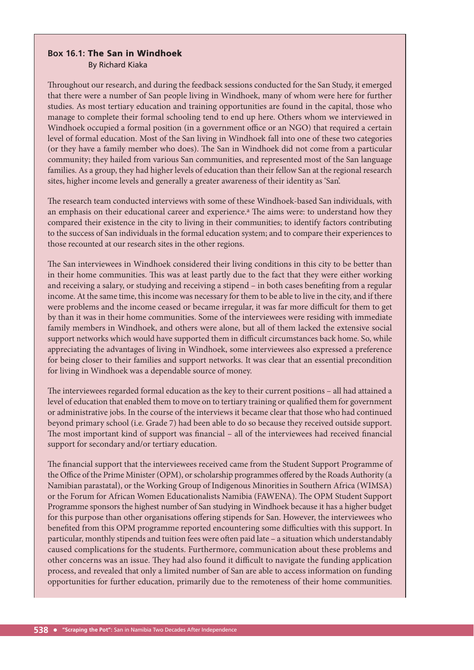#### **Box 16.1:** The San in Windhoek By Richard Kiaka

Throughout our research, and during the feedback sessions conducted for the San Study, it emerged that there were a number of San people living in Windhoek, many of whom were here for further studies. As most tertiary education and training opportunities are found in the capital, those who manage to complete their formal schooling tend to end up here. Others whom we interviewed in Windhoek occupied a formal position (in a government office or an NGO) that required a certain level of formal education. Most of the San living in Windhoek fall into one of these two categories (or they have a family member who does). The San in Windhoek did not come from a particular community; they hailed from various San communities, and represented most of the San language families. As a group, they had higher levels of education than their fellow San at the regional research sites, higher income levels and generally a greater awareness of their identity as 'San'.

The research team conducted interviews with some of these Windhoek-based San individuals, with an emphasis on their educational career and experience.<sup>a</sup> The aims were: to understand how they compared their existence in the city to living in their communities; to identify factors contributing to the success of San individuals in the formal education system; and to compare their experiences to those recounted at our research sites in the other regions.

The San interviewees in Windhoek considered their living conditions in this city to be better than in their home communities. This was at least partly due to the fact that they were either working and receiving a salary, or studying and receiving a stipend – in both cases benefiting from a regular income. At the same time, this income was necessary for them to be able to live in the city, and if there were problems and the income ceased or became irregular, it was far more difficult for them to get by than it was in their home communities. Some of the interviewees were residing with immediate family members in Windhoek, and others were alone, but all of them lacked the extensive social support networks which would have supported them in difficult circumstances back home. So, while appreciating the advantages of living in Windhoek, some interviewees also expressed a preference for being closer to their families and support networks. It was clear that an essential precondition for living in Windhoek was a dependable source of money.

The interviewees regarded formal education as the key to their current positions – all had attained a level of education that enabled them to move on to tertiary training or qualified them for government or administrative jobs. In the course of the interviews it became clear that those who had continued beyond primary school (i.e. Grade 7) had been able to do so because they received outside support. The most important kind of support was financial - all of the interviewees had received financial support for secondary and/or tertiary education.

The financial support that the interviewees received came from the Student Support Programme of the Office of the Prime Minister (OPM), or scholarship programmes offered by the Roads Authority (a Namibian parastatal), or the Working Group of Indigenous Minorities in Southern Africa (WIMSA) or the Forum for African Women Educationalists Namibia (FAWENA). The OPM Student Support Programme sponsors the highest number of San studying in Windhoek because it has a higher budget for this purpose than other organisations offering stipends for San. However, the interviewees who benefited from this OPM programme reported encountering some difficulties with this support. In particular, monthly stipends and tuition fees were often paid late – a situation which understandably caused complications for the students. Furthermore, communication about these problems and other concerns was an issue. They had also found it difficult to navigate the funding application process, and revealed that only a limited number of San are able to access information on funding opportunities for further education, primarily due to the remoteness of their home communities.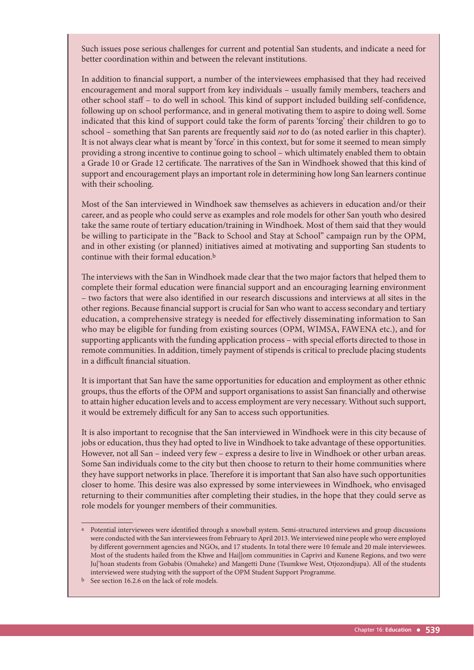Such issues pose serious challenges for current and potential San students, and indicate a need for better coordination within and between the relevant institutions.

In addition to financial support, a number of the interviewees emphasised that they had received encouragement and moral support from key individuals – usually family members, teachers and other school staff - to do well in school. This kind of support included building self-confidence, following up on school performance, and in general motivating them to aspire to doing well. Some indicated that this kind of support could take the form of parents 'forcing' their children to go to school – something that San parents are frequently said *not* to do (as noted earlier in this chapter). It is not always clear what is meant by 'force' in this context, but for some it seemed to mean simply providing a strong incentive to continue going to school – which ultimately enabled them to obtain a Grade 10 or Grade 12 certificate. The narratives of the San in Windhoek showed that this kind of support and encouragement plays an important role in determining how long San learners continue with their schooling.

Most of the San interviewed in Windhoek saw themselves as achievers in education and/or their career, and as people who could serve as examples and role models for other San youth who desired take the same route of tertiary education/training in Windhoek. Most of them said that they would be willing to participate in the "Back to School and Stay at School" campaign run by the OPM, and in other existing (or planned) initiatives aimed at motivating and supporting San students to continue with their formal education.<sup>b</sup>

The interviews with the San in Windhoek made clear that the two major factors that helped them to complete their formal education were financial support and an encouraging learning environment – two factors that were also identified in our research discussions and interviews at all sites in the other regions. Because financial support is crucial for San who want to access secondary and tertiary education, a comprehensive strategy is needed for effectively disseminating information to San who may be eligible for funding from existing sources (OPM, WIMSA, FAWENA etc.), and for supporting applicants with the funding application process - with special efforts directed to those in remote communities. In addition, timely payment of stipends is critical to preclude placing students in a difficult financial situation.

It is important that San have the same opportunities for education and employment as other ethnic groups, thus the efforts of the OPM and support organisations to assist San financially and otherwise to attain higher education levels and to access employment are very necessary. Without such support, it would be extremely difficult for any San to access such opportunities.

It is also important to recognise that the San interviewed in Windhoek were in this city because of jobs or education, thus they had opted to live in Windhoek to take advantage of these opportunities. However, not all San – indeed very few – express a desire to live in Windhoek or other urban areas. Some San individuals come to the city but then choose to return to their home communities where they have support networks in place. Therefore it is important that San also have such opportunities closer to home. This desire was also expressed by some interviewees in Windhoek, who envisaged returning to their communities after completing their studies, in the hope that they could serve as role models for younger members of their communities.

a Potential interviewees were identified through a snowball system. Semi-structured interviews and group discussions were conducted with the San interviewees from February to April 2013. We interviewed nine people who were employed by different government agencies and NGOs, and 17 students. In total there were 10 female and 20 male interviewees. Most of the students hailed from the Khwe and Hai||om communities in Caprivi and Kunene Regions, and two were Ju|'hoan students from Gobabis (Omaheke) and Mangetti Dune (Tsumkwe West, Otjozondjupa). All of the students interviewed were studying with the support of the OPM Student Support Programme.

b See section 16.2.6 on the lack of role models.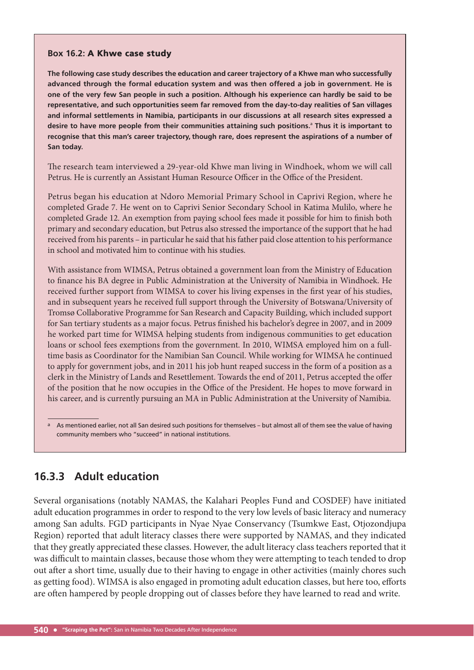#### **Box 16.2:** A Khwe case study

**The following case study describes the education and career trajectory of a Khwe man who successfully advanced through the formal education system and was then offered a job in government. He is one of the very few San people in such a position. Although his experience can hardly be said to be representative, and such opportunities seem far removed from the day-to-day realities of San villages and informal settlements in Namibia, participants in our discussions at all research sites expressed a desire to have more people from their communities attaining such positions.**<sup>a</sup> **Thus it is important to recognise that this man's career trajectory, though rare, does represent the aspirations of a number of San today.** 

The research team interviewed a 29-year-old Khwe man living in Windhoek, whom we will call Petrus. He is currently an Assistant Human Resource Officer in the Office of the President.

Petrus began his education at Ndoro Memorial Primary School in Caprivi Region, where he completed Grade 7. He went on to Caprivi Senior Secondary School in Katima Mulilo, where he completed Grade 12. An exemption from paying school fees made it possible for him to finish both primary and secondary education, but Petrus also stressed the importance of the support that he had received from his parents – in particular he said that his father paid close attention to his performance in school and motivated him to continue with his studies.

With assistance from WIMSA, Petrus obtained a government loan from the Ministry of Education to finance his BA degree in Public Administration at the University of Namibia in Windhoek. He received further support from WIMSA to cover his living expenses in the first year of his studies, and in subsequent years he received full support through the University of Botswana/University of Tromsø Collaborative Programme for San Research and Capacity Building, which included support for San tertiary students as a major focus. Petrus finished his bachelor's degree in 2007, and in 2009 he worked part time for WIMSA helping students from indigenous communities to get education loans or school fees exemptions from the government. In 2010, WIMSA employed him on a fulltime basis as Coordinator for the Namibian San Council. While working for WIMSA he continued to apply for government jobs, and in 2011 his job hunt reaped success in the form of a position as a clerk in the Ministry of Lands and Resettlement. Towards the end of 2011, Petrus accepted the offer of the position that he now occupies in the Office of the President. He hopes to move forward in his career, and is currently pursuing an MA in Public Administration at the University of Namibia.

### **16.3.3 Adult education**

Several organisations (notably NAMAS, the Kalahari Peoples Fund and COSDEF) have initiated adult education programmes in order to respond to the very low levels of basic literacy and numeracy among San adults. FGD participants in Nyae Nyae Conservancy (Tsumkwe East, Otjozondjupa Region) reported that adult literacy classes there were supported by NAMAS, and they indicated that they greatly appreciated these classes. However, the adult literacy class teachers reported that it was difficult to maintain classes, because those whom they were attempting to teach tended to drop out after a short time, usually due to their having to engage in other activities (mainly chores such as getting food). WIMSA is also engaged in promoting adult education classes, but here too, efforts are often hampered by people dropping out of classes before they have learned to read and write.

As mentioned earlier, not all San desired such positions for themselves - but almost all of them see the value of having community members who "succeed" in national institutions.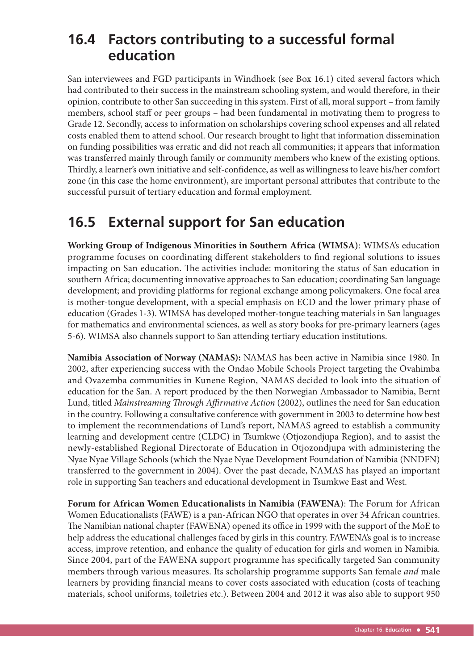# **16.4 Factors contributing to a successful formal education**

San interviewees and FGD participants in Windhoek (see Box 16.1) cited several factors which had contributed to their success in the mainstream schooling system, and would therefore, in their opinion, contribute to other San succeeding in this system. First of all, moral support – from family members, school staff or peer groups – had been fundamental in motivating them to progress to Grade 12. Secondly, access to information on scholarships covering school expenses and all related costs enabled them to attend school. Our research brought to light that information dissemination on funding possibilities was erratic and did not reach all communities; it appears that information was transferred mainly through family or community members who knew of the existing options. Thirdly, a learner's own initiative and self-confidence, as well as willingness to leave his/her comfort zone (in this case the home environment), are important personal attributes that contribute to the successful pursuit of tertiary education and formal employment.

# **16.5 External support for San education**

**Working Group of Indigenous Minorities in Southern Africa (WIMSA)**: WIMSA's education programme focuses on coordinating different stakeholders to find regional solutions to issues impacting on San education. The activities include: monitoring the status of San education in southern Africa; documenting innovative approaches to San education; coordinating San language development; and providing platforms for regional exchange among policymakers. One focal area is mother-tongue development, with a special emphasis on ECD and the lower primary phase of education (Grades 1-3). WIMSA has developed mother-tongue teaching materials in San languages for mathematics and environmental sciences, as well as story books for pre-primary learners (ages 5-6). WIMSA also channels support to San attending tertiary education institutions.

**Namibia Association of Norway (NAMAS):** NAMAS has been active in Namibia since 1980. In 2002, after experiencing success with the Ondao Mobile Schools Project targeting the Ovahimba and Ovazemba communities in Kunene Region, NAMAS decided to look into the situation of education for the San. A report produced by the then Norwegian Ambassador to Namibia, Bernt Lund, titled *Mainstreaming Through Affirmative Action* (2002), outlines the need for San education in the country. Following a consultative conference with government in 2003 to determine how best to implement the recommendations of Lund's report, NAMAS agreed to establish a community learning and development centre (CLDC) in Tsumkwe (Otjozondjupa Region), and to assist the newly-established Regional Directorate of Education in Otjozondjupa with administering the Nyae Nyae Village Schools (which the Nyae Nyae Development Foundation of Namibia (NNDFN) transferred to the government in 2004). Over the past decade, NAMAS has played an important role in supporting San teachers and educational development in Tsumkwe East and West.

Forum for African Women Educationalists in Namibia (FAWENA): The Forum for African Women Educationalists (FAWE) is a pan-African NGO that operates in over 34 African countries. The Namibian national chapter (FAWENA) opened its office in 1999 with the support of the MoE to help address the educational challenges faced by girls in this country. FAWENA's goal is to increase access, improve retention, and enhance the quality of education for girls and women in Namibia. Since 2004, part of the FAWENA support programme has specifically targeted San community members through various measures. Its scholarship programme supports San female *and* male learners by providing financial means to cover costs associated with education (costs of teaching materials, school uniforms, toiletries etc.). Between 2004 and 2012 it was also able to support 950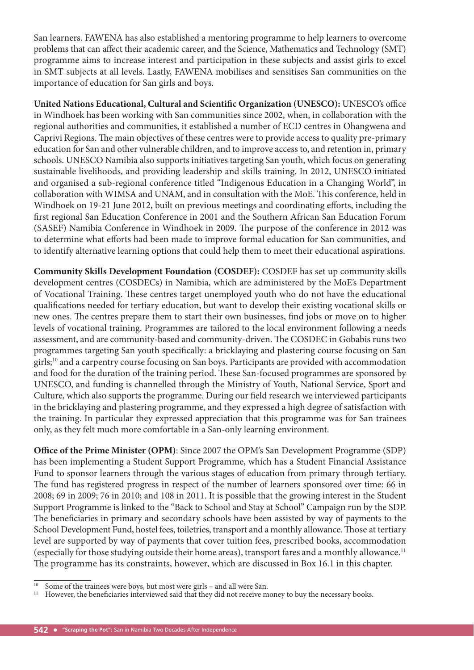San learners. FAWENA has also established a mentoring programme to help learners to overcome problems that can affect their academic career, and the Science, Mathematics and Technology (SMT) programme aims to increase interest and participation in these subjects and assist girls to excel in SMT subjects at all levels. Lastly, FAWENA mobilises and sensitises San communities on the importance of education for San girls and boys.

**United Nations Educational, Cultural and Scientific Organization (UNESCO): UNESCO's office** in Windhoek has been working with San communities since 2002, when, in collaboration with the regional authorities and communities, it established a number of ECD centres in Ohangwena and Caprivi Regions. The main objectives of these centres were to provide access to quality pre-primary education for San and other vulnerable children, and to improve access to, and retention in, primary schools. UNESCO Namibia also supports initiatives targeting San youth, which focus on generating sustainable livelihoods, and providing leadership and skills training. In 2012, UNESCO initiated and organised a sub-regional conference titled "Indigenous Education in a Changing World", in collaboration with WIMSA and UNAM, and in consultation with the MoE. This conference, held in Windhoek on 19-21 June 2012, built on previous meetings and coordinating efforts, including the first regional San Education Conference in 2001 and the Southern African San Education Forum (SASEF) Namibia Conference in Windhoek in 2009. The purpose of the conference in 2012 was to determine what efforts had been made to improve formal education for San communities, and to identify alternative learning options that could help them to meet their educational aspirations.

**Community Skills Development Foundation (COSDEF):** COSDEF has set up community skills development centres (COSDECs) in Namibia, which are administered by the MoE's Department of Vocational Training. These centres target unemployed youth who do not have the educational qualifications needed for tertiary education, but want to develop their existing vocational skills or new ones. The centres prepare them to start their own businesses, find jobs or move on to higher levels of vocational training. Programmes are tailored to the local environment following a needs assessment, and are community-based and community-driven. The COSDEC in Gobabis runs two programmes targeting San youth specifically: a bricklaying and plastering course focusing on San girls;10 and a carpentry course focusing on San boys. Participants are provided with accommodation and food for the duration of the training period. These San-focused programmes are sponsored by UNESCO, and funding is channelled through the Ministry of Youth, National Service, Sport and Culture, which also supports the programme. During our field research we interviewed participants in the bricklaying and plastering programme, and they expressed a high degree of satisfaction with the training. In particular they expressed appreciation that this programme was for San trainees only, as they felt much more comfortable in a San-only learning environment.

**Office of the Prime Minister (OPM)**: Since 2007 the OPM's San Development Programme (SDP) has been implementing a Student Support Programme, which has a Student Financial Assistance Fund to sponsor learners through the various stages of education from primary through tertiary. The fund has registered progress in respect of the number of learners sponsored over time: 66 in 2008; 69 in 2009; 76 in 2010; and 108 in 2011. It is possible that the growing interest in the Student Support Programme is linked to the "Back to School and Stay at School" Campaign run by the SDP. The beneficiaries in primary and secondary schools have been assisted by way of payments to the School Development Fund, hostel fees, toiletries, transport and a monthly allowance. Those at tertiary level are supported by way of payments that cover tuition fees, prescribed books, accommodation (especially for those studying outside their home areas), transport fares and a monthly allowance.11 The programme has its constraints, however, which are discussed in Box 16.1 in this chapter.

<sup>&</sup>lt;sup>10</sup> Some of the trainees were boys, but most were girls – and all were San.<br><sup>11</sup> However, the beneficiaries interviewed said that they did not receive m

However, the beneficiaries interviewed said that they did not receive money to buy the necessary books.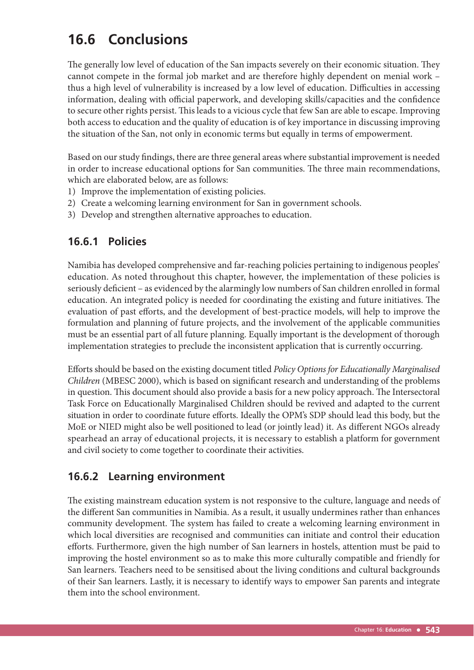# **16.6 Conclusions**

The generally low level of education of the San impacts severely on their economic situation. They cannot compete in the formal job market and are therefore highly dependent on menial work – thus a high level of vulnerability is increased by a low level of education. Difficulties in accessing information, dealing with official paperwork, and developing skills/capacities and the confidence to secure other rights persist. This leads to a vicious cycle that few San are able to escape. Improving both access to education and the quality of education is of key importance in discussing improving the situation of the San, not only in economic terms but equally in terms of empowerment.

Based on our study findings, there are three general areas where substantial improvement is needed in order to increase educational options for San communities. The three main recommendations, which are elaborated below, are as follows:

- 1) Improve the implementation of existing policies.
- 2) Create a welcoming learning environment for San in government schools.
- 3) Develop and strengthen alternative approaches to education.

### **16.6.1 Policies**

Namibia has developed comprehensive and far-reaching policies pertaining to indigenous peoples' education. As noted throughout this chapter, however, the implementation of these policies is seriously deficient – as evidenced by the alarmingly low numbers of San children enrolled in formal education. An integrated policy is needed for coordinating the existing and future initiatives. The evaluation of past efforts, and the development of best-practice models, will help to improve the formulation and planning of future projects, and the involvement of the applicable communities must be an essential part of all future planning. Equally important is the development of thorough implementation strategies to preclude the inconsistent application that is currently occurring.

Eff orts should be based on the existing document titled *Policy Options for Educationally Marginalised Children* (MBESC 2000), which is based on significant research and understanding of the problems in question. This document should also provide a basis for a new policy approach. The Intersectoral Task Force on Educationally Marginalised Children should be revived and adapted to the current situation in order to coordinate future efforts. Ideally the OPM's SDP should lead this body, but the MoE or NIED might also be well positioned to lead (or jointly lead) it. As different NGOs already spearhead an array of educational projects, it is necessary to establish a platform for government and civil society to come together to coordinate their activities.

### **16.6.2 Learning environment**

The existing mainstream education system is not responsive to the culture, language and needs of the different San communities in Namibia. As a result, it usually undermines rather than enhances community development. The system has failed to create a welcoming learning environment in which local diversities are recognised and communities can initiate and control their education efforts. Furthermore, given the high number of San learners in hostels, attention must be paid to improving the hostel environment so as to make this more culturally compatible and friendly for San learners. Teachers need to be sensitised about the living conditions and cultural backgrounds of their San learners. Lastly, it is necessary to identify ways to empower San parents and integrate them into the school environment.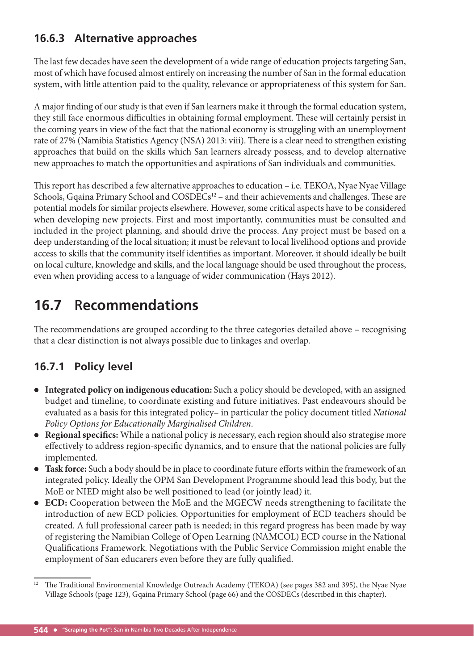# **16.6.3 Alternative approaches**

The last few decades have seen the development of a wide range of education projects targeting San, most of which have focused almost entirely on increasing the number of San in the formal education system, with little attention paid to the quality, relevance or appropriateness of this system for San.

A major finding of our study is that even if San learners make it through the formal education system, they still face enormous difficulties in obtaining formal employment. These will certainly persist in the coming years in view of the fact that the national economy is struggling with an unemployment rate of 27% (Namibia Statistics Agency (NSA) 2013: viii). There is a clear need to strengthen existing approaches that build on the skills which San learners already possess, and to develop alternative new approaches to match the opportunities and aspirations of San individuals and communities.

This report has described a few alternative approaches to education - i.e. TEKOA, Nyae Nyae Village Schools, Gqaina Primary School and COSDECs<sup>12</sup> – and their achievements and challenges. These are potential models for similar projects elsewhere. However, some critical aspects have to be considered when developing new projects. First and most importantly, communities must be consulted and included in the project planning, and should drive the process. Any project must be based on a deep understanding of the local situation; it must be relevant to local livelihood options and provide access to skills that the community itself identifies as important. Moreover, it should ideally be built on local culture, knowledge and skills, and the local language should be used throughout the process, even when providing access to a language of wider communication (Hays 2012).

# **16.7** R**ecommendations**

The recommendations are grouped according to the three categories detailed above – recognising that a clear distinction is not always possible due to linkages and overlap.

# **16.7.1 Policy level**

- **Integrated policy on indigenous education:** Such a policy should be developed, with an assigned budget and timeline, to coordinate existing and future initiatives. Past endeavours should be evaluated as a basis for this integrated policy– in particular the policy document titled *National Policy Options for Educationally Marginalised Children*.
- Regional specifics: While a national policy is necessary, each region should also strategise more effectively to address region-specific dynamics, and to ensure that the national policies are fully implemented.
- Task force: Such a body should be in place to coordinate future efforts within the framework of an integrated policy. Ideally the OPM San Development Programme should lead this body, but the MoE or NIED might also be well positioned to lead (or jointly lead) it.
- **ECD:** Cooperation between the MoE and the MGECW needs strengthening to facilitate the introduction of new ECD policies. Opportunities for employment of ECD teachers should be created. A full professional career path is needed; in this regard progress has been made by way of registering the Namibian College of Open Learning (NAMCOL) ECD course in the National Qualifications Framework. Negotiations with the Public Service Commission might enable the employment of San educarers even before they are fully qualified.

<sup>&</sup>lt;sup>12</sup> The Traditional Environmental Knowledge Outreach Academy (TEKOA) (see pages 382 and 395), the Nyae Nyae Village Schools (page 123), Gqaina Primary School (page 66) and the COSDECs (described in this chapter).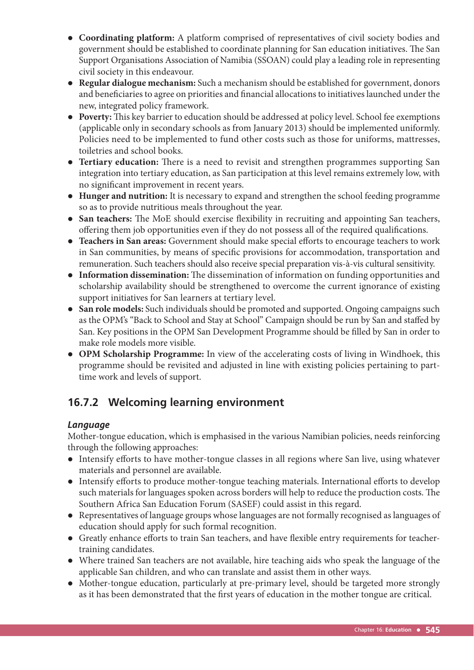- **Coordinating platform:** A platform comprised of representatives of civil society bodies and government should be established to coordinate planning for San education initiatives. The San Support Organisations Association of Namibia (SSOAN) could play a leading role in representing civil society in this endeavour.
- **Regular dialogue mechanism:** Such a mechanism should be established for government, donors and beneficiaries to agree on priorities and financial allocations to initiatives launched under the new, integrated policy framework.
- Poverty: This key barrier to education should be addressed at policy level. School fee exemptions (applicable only in secondary schools as from January 2013) should be implemented uniformly. Policies need to be implemented to fund other costs such as those for uniforms, mattresses, toiletries and school books.
- Tertiary education: There is a need to revisit and strengthen programmes supporting San integration into tertiary education, as San participation at this level remains extremely low, with no significant improvement in recent years.
- **Hunger and nutrition:** It is necessary to expand and strengthen the school feeding programme so as to provide nutritious meals throughout the year.
- San teachers: The MoE should exercise flexibility in recruiting and appointing San teachers, offering them job opportunities even if they do not possess all of the required qualifications.
- Teachers in San areas: Government should make special efforts to encourage teachers to work in San communities, by means of specific provisions for accommodation, transportation and remuneration. Such teachers should also receive special preparation vis-à-vis cultural sensitivity.
- Information dissemination: The dissemination of information on funding opportunities and scholarship availability should be strengthened to overcome the current ignorance of existing support initiatives for San learners at tertiary level.
- **San role models:** Such individuals should be promoted and supported. Ongoing campaigns such as the OPM's "Back to School and Stay at School" Campaign should be run by San and staffed by San. Key positions in the OPM San Development Programme should be filled by San in order to make role models more visible.
- **OPM Scholarship Programme:** In view of the accelerating costs of living in Windhoek, this programme should be revisited and adjusted in line with existing policies pertaining to parttime work and levels of support.

# **16.7.2 Welcoming learning environment**

### *Language*

Mother-tongue education, which is emphasised in the various Namibian policies, needs reinforcing through the following approaches:

- $\bullet$  Intensify efforts to have mother-tongue classes in all regions where San live, using whatever materials and personnel are available.
- $\bullet$  Intensify efforts to produce mother-tongue teaching materials. International efforts to develop such materials for languages spoken across borders will help to reduce the production costs. The Southern Africa San Education Forum (SASEF) could assist in this regard.
- Representatives of language groups whose languages are not formally recognised as languages of education should apply for such formal recognition.
- Greatly enhance efforts to train San teachers, and have flexible entry requirements for teachertraining candidates.
- Where trained San teachers are not available, hire teaching aids who speak the language of the applicable San children, and who can translate and assist them in other ways.
- Mother-tongue education, particularly at pre-primary level, should be targeted more strongly as it has been demonstrated that the first years of education in the mother tongue are critical.